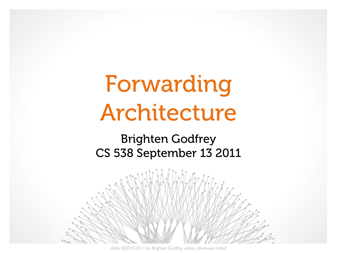# Forwarding Architecture

Brighten Godfrey CS 538 September 13 2011



slides ©2010-2011 by Brighten Godfrey unless otherwise noted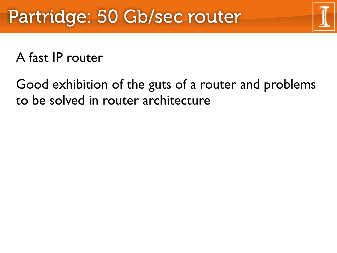A fast IP router

Good exhibition of the guts of a router and problems to be solved in router architecture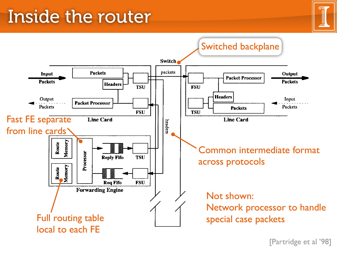# Inside the router



[Partridge et al '98]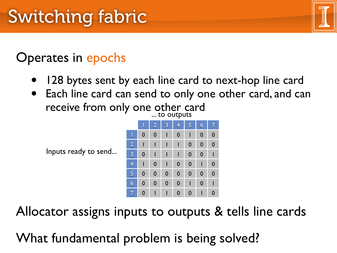#### Operates in epochs

- 128 bytes sent by each line card to next-hop line card
- Each line card can send to only one other card, and can receive from only one other card ... to outputs



Inputs ready to send...

Allocator assigns inputs to outputs & tells line cards

What fundamental problem is being solved?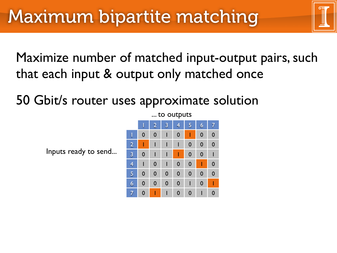Maximize number of matched input-output pairs, such that each input & output only matched once

50 Gbit/s router uses approximate solution



Inputs ready to send...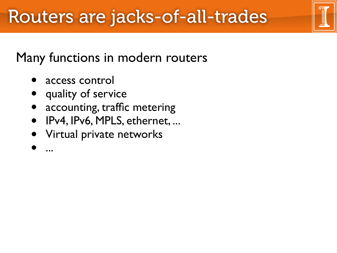#### Many functions in modern routers

- access control
- quality of service
- accounting, traffic metering
- IPv4, IPv6, MPLS, ethernet, ...
- Virtual private networks
- ...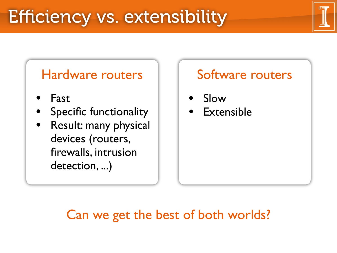#### Hardware routers

- Fast
- Specific functionality
- Result: many physical devices (routers, firewalls, intrusion detection, ...)

#### Software routers

- Slow
- **Extensible**

#### Can we get the best of both worlds?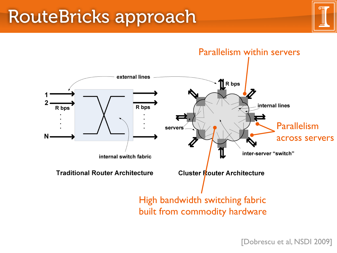# RouteBricks approach





[Dobrescu et al, NSDI 2009]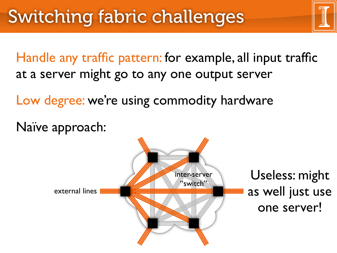Handle any traffic pattern: for example, all input traffic at a server might go to any one output server

Low degree: we're using commodity hardware

Naïve approach:

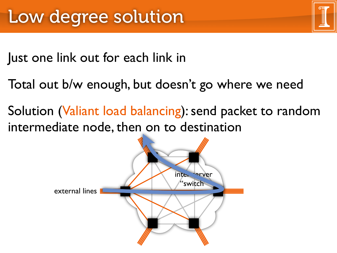Just one link out for each link in

- Total out b/w enough, but doesn't go where we need
- Solution (Valiant load balancing): send packet to random intermediate node, then on to destination

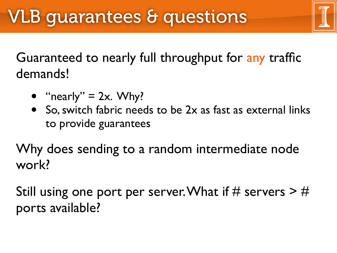Guaranteed to nearly full throughput for any traffic demands!

- "nearly" =  $2x$ . Why?
- So, switch fabric needs to be 2x as fast as external links to provide guarantees

Why does sending to a random intermediate node work?

Still using one port per server. What if # servers  $>$  # ports available?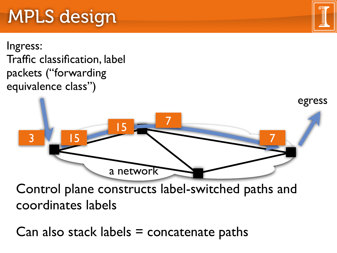# MPLS design

Ingress: Traffic classification, label packets ("forwarding equivalence class")



Control plane constructs label-switched paths and coordinates labels

Can also stack labels = concatenate paths

![](_page_11_Picture_5.jpeg)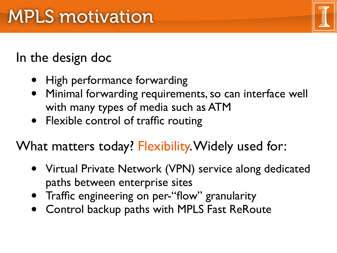#### In the design doc

- High performance forwarding
- Minimal forwarding requirements, so can interface well with many types of media such as ATM
- Flexible control of traffic routing

#### What matters today? Flexibility. Widely used for:

- Virtual Private Network (VPN) service along dedicated paths between enterprise sites
- Traffic engineering on per-"flow" granularity
- Control backup paths with MPLS Fast ReRoute